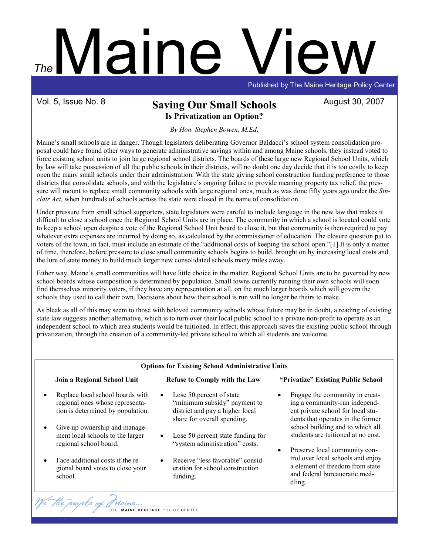# Maine View Published by The Maine Heritage Policy Center The

## Vol. 5, Issue No. 8 **Saving Our Small Schools** August 30, 2007 Is Privatization an Option?

By Hon. Stephen Bowen, M.Ed.

Maine's small schools are in danger. Though legislators deliberating Governor Baldacci's school system consolidation proposal could have found other ways to generate administrative savings within and among Maine schools, they instead voted to force existing school units to join large regional school districts. The boards of these large new Regional School Units, which by law will take possession of all the public schools in their districts, will no doubt one day decide that it is too costly to keep open the many small schools under their administration. With the state giving school construction funding preference to those districts that consolidate schools, and with the legislature's ongoing failure to provide meaning property tax relief, the pressure will mount to replace small community schools with large regional ones, much as was done fifty years ago under the Sinclair Act, when hundreds of schools across the state were closed in the name of consolidation.

Under pressure from small school supporters, state legislators were careful to include language in the new law that makes it difficult to close a school once the Regional School Units are in place. The community in which a school is located could vote to keep a school open despite a vote of the Regional School Unit board to close it, but that community is then required to pay whatever extra expenses are incurred by doing so, as calculated by the commissioner of education. The closure question put to voters of the town, in fact, must include an estimate of the "additional costs of keeping the school open."[1] It is only a matter of time, therefore, before pressure to close small community schools begins to build, brought on by increasing local costs and the lure of state money to build much larger new consolidated schools many miles away.

Either way, Maine's small communities will have little choice in the matter. Regional School Units are to be governed by new school boards whose composition is determined by population. Small towns currently running their own schools will soon find themselves minority voters, if they have any representation at all, on the much larger boards which will govern the schools they used to call their own. Decisions about how their school is run will no longer be theirs to make.

As bleak as all of this may seem to those with beloved community schools whose future may be in doubt, a reading of existing state law suggests another alternative, which is to turn over their local public school to a private non-profit to operate as an independent school to which area students would be tuitioned. In effect, this approach saves the existing public school through privatization, through the creation of a community-led private school to which all students are welcome.

| <b>Options for Existing School Administrative Units</b> |                                                                                                                                           |                                                                                                                                         |                                                                                                                                                                                                                                                                                                                                                                                      |
|---------------------------------------------------------|-------------------------------------------------------------------------------------------------------------------------------------------|-----------------------------------------------------------------------------------------------------------------------------------------|--------------------------------------------------------------------------------------------------------------------------------------------------------------------------------------------------------------------------------------------------------------------------------------------------------------------------------------------------------------------------------------|
|                                                         | Join a Regional School Unit                                                                                                               | <b>Refuse to Comply with the Law</b>                                                                                                    | "Privatize" Existing Public School                                                                                                                                                                                                                                                                                                                                                   |
| $\bullet$<br>$\bullet$                                  | Replace local school boards with<br>regional ones whose representa-<br>tion is determined by population.<br>Give up ownership and manage- | Lose 50 percent of state<br>$\bullet$<br>"minimum subsidy" payment to<br>district and pay a higher local<br>share for overall spending. | Engage the community in creat-<br>ing a community-run independ-<br>ent private school for local stu-<br>dents that operates in the former<br>school building and to which all<br>students are tuitioned at no cost.<br>Preserve local community con-<br>$\bullet$<br>trol over local schools and enjoy<br>a element of freedom from state<br>and federal bureaucratic med-<br>dling. |
|                                                         | ment local schools to the larger<br>regional school board.                                                                                | Lose 50 percent state funding for<br>$\bullet$<br>"system administration" costs.                                                        |                                                                                                                                                                                                                                                                                                                                                                                      |
| $\bullet$                                               | Face additional costs if the re-<br>gional board votes to close your<br>school.                                                           | Receive "less favorable" consid-<br>$\bullet$<br>eration for school construction<br>funding.                                            |                                                                                                                                                                                                                                                                                                                                                                                      |

THE MAINE HERITAGE POLICY CENTER

We the regile of 0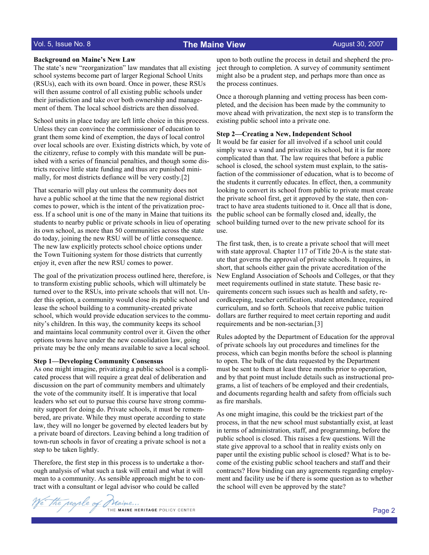### Vol. 5, Issue No. 8 The Maine View

#### Background on Maine's New Law

The state's new "reorganization" law mandates that all existing school systems become part of larger Regional School Units (RSUs), each with its own board. Once in power, these RSUs will then assume control of all existing public schools under their jurisdiction and take over both ownership and management of them. The local school districts are then dissolved.

School units in place today are left little choice in this process. Unless they can convince the commissioner of education to grant them some kind of exemption, the days of local control over local schools are over. Existing districts which, by vote of the citizenry, refuse to comply with this mandate will be punished with a series of financial penalties, and though some districts receive little state funding and thus are punished minimally, for most districts defiance will be very costly.[2]

That scenario will play out unless the community does not have a public school at the time that the new regional district comes to power, which is the intent of the privatization process. If a school unit is one of the many in Maine that tuitions its students to nearby public or private schools in lieu of operating its own school, as more than 50 communities across the state do today, joining the new RSU will be of little consequence. The new law explicitly protects school choice options under the Town Tuitioning system for those districts that currently enjoy it, even after the new RSU comes to power.

The goal of the privatization process outlined here, therefore, is to transform existing public schools, which will ultimately be turned over to the RSUs, into private schools that will not. Under this option, a community would close its public school and lease the school building to a community-created private school, which would provide education services to the community's children. In this way, the community keeps its school and maintains local community control over it. Given the other options towns have under the new consolidation law, going private may be the only means available to save a local school.

#### Step 1—Developing Community Consensus

As one might imagine, privatizing a public school is a complicated process that will require a great deal of deliberation and discussion on the part of community members and ultimately the vote of the community itself. It is imperative that local leaders who set out to pursue this course have strong community support for doing do. Private schools, it must be remembered, are private. While they must operate according to state law, they will no longer be governed by elected leaders but by a private board of directors. Leaving behind a long tradition of town-run schools in favor of creating a private school is not a step to be taken lightly.

Therefore, the first step in this process is to undertake a thorough analysis of what such a task will entail and what it will mean to a community. As sensible approach might be to contract with a consultant or legal advisor who could be called

upon to both outline the process in detail and shepherd the project through to completion. A survey of community sentiment might also be a prudent step, and perhaps more than once as the process continues.

Once a thorough planning and vetting process has been completed, and the decision has been made by the community to move ahead with privatization, the next step is to transform the existing public school into a private one.

#### Step 2—Creating a New, Independent School

It would be far easier for all involved if a school unit could simply wave a wand and privatize its school, but it is far more complicated than that. The law requires that before a public school is closed, the school system must explain, to the satisfaction of the commissioner of education, what is to become of the students it currently educates. In effect, then, a community looking to convert its school from public to private must create the private school first, get it approved by the state, then contract to have area students tuitioned to it. Once all that is done, the public school can be formally closed and, ideally, the school building turned over to the new private school for its use.

The first task, then, is to create a private school that will meet with state approval. Chapter 117 of Title 20-A is the state statute that governs the approval of private schools. It requires, in short, that schools either gain the private accreditation of the New England Association of Schools and Colleges, or that they meet requirements outlined in state statute. These basic requirements concern such issues such as health and safety, recordkeeping, teacher certification, student attendance, required curriculum, and so forth. Schools that receive public tuition dollars are further required to meet certain reporting and audit requirements and be non-sectarian.[3]

Rules adopted by the Department of Education for the approval of private schools lay out procedures and timelines for the process, which can begin months before the school is planning to open. The bulk of the data requested by the Department must be sent to them at least three months prior to operation, and by that point must include details such as instructional programs, a list of teachers of be employed and their credentials, and documents regarding health and safety from officials such as fire marshals.

As one might imagine, this could be the trickiest part of the process, in that the new school must substantially exist, at least in terms of administration, staff, and programming, before the public school is closed. This raises a few questions. Will the state give approval to a school that in reality exists only on paper until the existing public school is closed? What is to become of the existing public school teachers and staff and their contracts? How binding can any agreements regarding employment and facility use be if there is some question as to whether the school will even be approved by the state?

The regile of Maine ... THE MAINE HERITAGE POLICY CENTER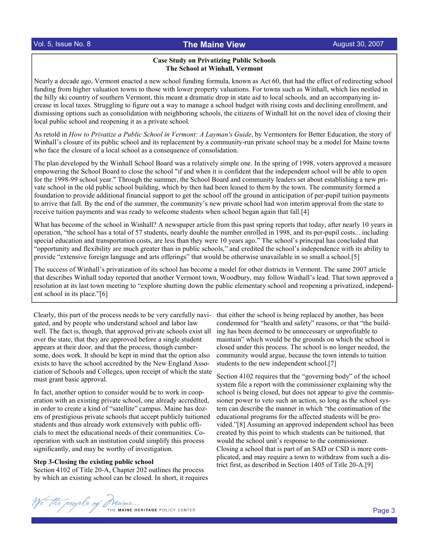## Vol. 5, Issue No. 8 The Maine View

#### Case Study on Privatizing Public Schools The School at Winhall, Vermont

Nearly a decade ago, Vermont enacted a new school funding formula, known as Act 60, that had the effect of redirecting school funding from higher valuation towns to those with lower property valuations. For towns such as Winhall, which lies nestled in the hilly ski country of southern Vermont, this meant a dramatic drop in state aid to local schools, and an accompanying increase in local taxes. Struggling to figure out a way to manage a school budget with rising costs and declining enrollment, and dismissing options such as consolidation with neighboring schools, the citizens of Winhall hit on the novel idea of closing their local public school and reopening it as a private school.

As retold in How to Privatize a Public School in Vermont: A Layman's Guide, by Vermonters for Better Education, the story of Winhall's closure of its public school and its replacement by a community-run private school may be a model for Maine towns who face the closure of a local school as a consequence of consolidation.

The plan developed by the Winhall School Board was a relatively simple one. In the spring of 1998, voters approved a measure empowering the School Board to close the school "if and when it is confident that the independent school will be able to open for the 1998-99 school year." Through the summer, the School Board and community leaders set about establishing a new private school in the old public school building, which by then had been leased to them by the town. The community formed a foundation to provide additional financial support to get the school off the ground in anticipation of per-pupil tuition payments to arrive that fall. By the end of the summer, the community's new private school had won interim approval from the state to receive tuition payments and was ready to welcome students when school began again that fall.[4]

What has become of the school in Winhall? A newspaper article from this past spring reports that today, after nearly 10 years in operation, "the school has a total of 57 students, nearly double the number enrolled in 1998, and its per-pupil costs... including special education and transportation costs, are less than they were 10 years ago." The school's principal has concluded that "opportunity and flexibility are much greater than in public schools," and credited the school's independence with its ability to provide "extensive foreign language and arts offerings" that would be otherwise unavailable in so small a school.[5]

The success of Winhall's privatization of its school has become a model for other districts in Vermont. The same 2007 article that describes Winhall today reported that another Vermont town, Woodbury, may follow Winhall's lead. That town approved a resolution at its last town meeting to "explore shutting down the public elementary school and reopening a privatized, independent school in its place."[6]

Clearly, this part of the process needs to be very carefully navigated, and by people who understand school and labor law well. The fact is, though, that approved private schools exist all over the state, that they are approved before a single student appears at their door, and that the process, though cumbersome, does work. It should be kept in mind that the option also exists to have the school accredited by the New England Association of Schools and Colleges, upon receipt of which the state must grant basic approval.

In fact, another option to consider would be to work in cooperation with an existing private school, one already accredited, in order to create a kind of "satellite" campus. Maine has dozens of prestigious private schools that accept publicly tuitioned students and thus already work extensively with public officials to meet the educational needs of their communities. Cooperation with such an institution could simplify this process significantly, and may be worthy of investigation.

#### Step 3-Closing the existing public school

Section 4102 of Title 20-A, Chapter 202 outlines the process by which an existing school can be closed. In short, it requires that either the school is being replaced by another, has been condemned for "health and safety" reasons, or that "the building has been deemed to be unnecessary or unprofitable to maintain" which would be the grounds on which the school is closed under this process. The school is no longer needed, the community would argue, because the town intends to tuition students to the new independent school.[7]

Section 4102 requires that the "governing body" of the school system file a report with the commissioner explaining why the school is being closed, but does not appear to give the commissioner power to veto such an action, so long as the school system can describe the manner in which "the continuation of the educational programs for the affected students will be provided."[8] Assuming an approved independent school has been created by this point to which students can be tuitioned, that would the school unit's response to the commissioner. Closing a school that is part of an SAD or CSD is more complicated, and may require a town to withdraw from such a district first, as described in Section 1405 of Title 20-A.[9]